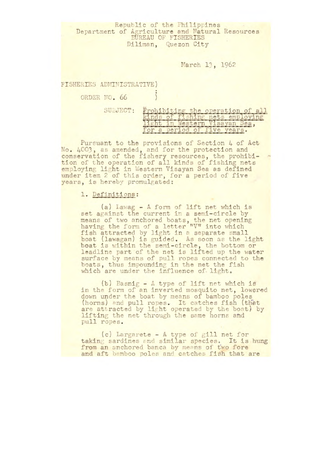Republic of the Philippines Department of Agriculture and Natural Resources BUREAU OF FISHERIES Diliman, Quezon City

March 13, 1962

FISHERIES ADMINISTRATIVE)

ORDER NO. 66 1

| SUBJECT: | Prohibiting the operation of all |
|----------|----------------------------------|
|          | kinds of fishing nets employing  |
|          | light in Western Visavan Sea.    |
|          | for a period of five vears.      |

Pursuant to the provisions of Section 4 of Act No. 4003, as amended, and for the protection and conservation of the fishery resources, the prohibition of the operation of all kinds of fishing nets employing light in Western Visayan Sea as defined under item 2 of this order, for a period of five years, is hereby promulgated:

## 1. Definitions:

(a) Lawag - A form of lift net **which is**  set against the current in a semi-circle by means of two anchored boats, the net opening having the form of a letter "V" into which fish attracted by light in a separate small boat (lawagan) is guided. As soon as the light boat is within the semi-circle, the bottom or leadline part of the net is lifted up the water surface by means of pull ropes connected to the boats, thus impounding in the net the fish which are under the influence of light.

(b) Basnig - A type of lift net which is in the form of an inverted mosquito net, lowered down under the boat by means of bamboo poles (horns) and pull ropes. It catches fish (that are attracted by light operated *by the boat) by*  lifting the net through the same horns and pull ropes.

(c) Largarete - *A* type of gill net for taking sardines and similar species. It is hung from an anchored banca by means of two fore and aft bamboo poles and catches fish that are